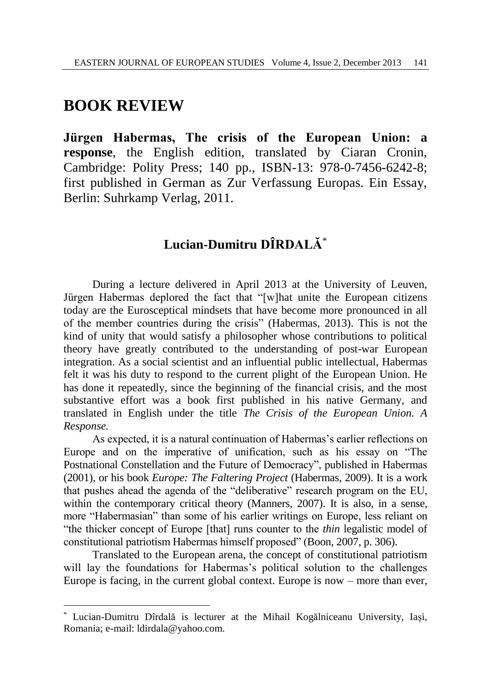## **BOOK REVIEW**

l

**Jürgen Habermas, The crisis of the European Union: a response**, the English edition, translated by Ciaran Cronin, Cambridge: Polity Press; 140 pp., ISBN-13: 978-0-7456-6242-8; first published in German as Zur Verfassung Europas. Ein Essay, Berlin: Suhrkamp Verlag, 2011.

## **Lucian-Dumitru DÎRDALĂ**\*

During a lecture delivered in April 2013 at the University of Leuven, Jürgen Habermas deplored the fact that "[w]hat unite the European citizens today are the Eurosceptical mindsets that have become more pronounced in all of the member countries during the crisis" (Habermas, 2013). This is not the kind of unity that would satisfy a philosopher whose contributions to political theory have greatly contributed to the understanding of post-war European integration. As a social scientist and an influential public intellectual, Habermas felt it was his duty to respond to the current plight of the European Union. He has done it repeatedly, since the beginning of the financial crisis, and the most substantive effort was a book first published in his native Germany, and translated in English under the title *The Crisis of the European Union. A Response.*

As expected, it is a natural continuation of Habermas's earlier reflections on Europe and on the imperative of unification, such as his essay on "The Postnational Constellation and the Future of Democracy", published in Habermas (2001), or his book *Europe: The Faltering Project* (Habermas, 2009). It is a work that pushes ahead the agenda of the "deliberative" research program on the EU, within the contemporary critical theory (Manners, 2007). It is also, in a sense, more "Habermasian" than some of his earlier writings on Europe, less reliant on "the thicker concept of Europe [that] runs counter to the *thin* legalistic model of constitutional patriotism Habermas himself proposed" (Boon, 2007, p. 306).

Translated to the European arena, the concept of constitutional patriotism will lay the foundations for Habermas's political solution to the challenges Europe is facing, in the current global context. Europe is now – more than ever,

<sup>\*</sup> Lucian-Dumitru Dîrdală is lecturer at the Mihail Kogălniceanu University, Iași, Romania; e-mail: ldirdala@yahoo.com.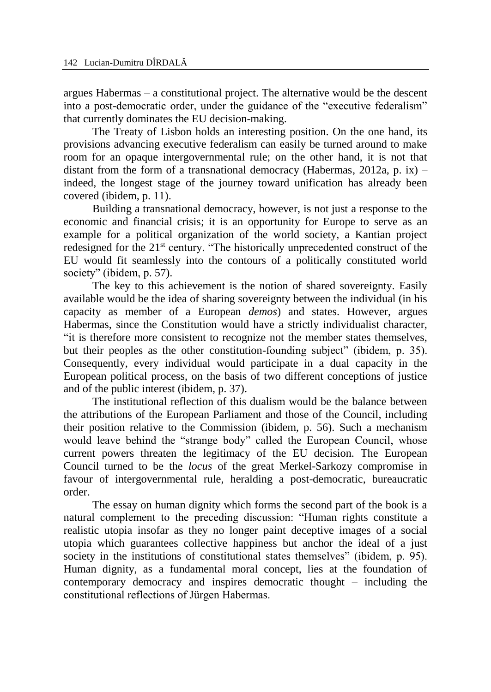argues Habermas – a constitutional project. The alternative would be the descent into a post-democratic order, under the guidance of the "executive federalism" that currently dominates the EU decision-making.

The Treaty of Lisbon holds an interesting position. On the one hand, its provisions advancing executive federalism can easily be turned around to make room for an opaque intergovernmental rule; on the other hand, it is not that distant from the form of a transnational democracy (Habermas, 2012a, p. ix) – indeed, the longest stage of the journey toward unification has already been covered (ibidem, p. 11).

Building a transnational democracy, however, is not just a response to the economic and financial crisis; it is an opportunity for Europe to serve as an example for a political organization of the world society, a Kantian project redesigned for the 21<sup>st</sup> century. "The historically unprecedented construct of the EU would fit seamlessly into the contours of a politically constituted world society" (ibidem, p. 57).

The key to this achievement is the notion of shared sovereignty. Easily available would be the idea of sharing sovereignty between the individual (in his capacity as member of a European *demos*) and states. However, argues Habermas, since the Constitution would have a strictly individualist character, "it is therefore more consistent to recognize not the member states themselves, but their peoples as the other constitution-founding subject" (ibidem, p. 35). Consequently, every individual would participate in a dual capacity in the European political process, on the basis of two different conceptions of justice and of the public interest (ibidem, p. 37).

The institutional reflection of this dualism would be the balance between the attributions of the European Parliament and those of the Council, including their position relative to the Commission (ibidem, p. 56). Such a mechanism would leave behind the "strange body" called the European Council, whose current powers threaten the legitimacy of the EU decision. The European Council turned to be the *locus* of the great Merkel-Sarkozy compromise in favour of intergovernmental rule, heralding a post-democratic, bureaucratic order.

The essay on human dignity which forms the second part of the book is a natural complement to the preceding discussion: "Human rights constitute a realistic utopia insofar as they no longer paint deceptive images of a social utopia which guarantees collective happiness but anchor the ideal of a just society in the institutions of constitutional states themselves" (ibidem, p. 95). Human dignity, as a fundamental moral concept, lies at the foundation of contemporary democracy and inspires democratic thought – including the constitutional reflections of Jürgen Habermas.